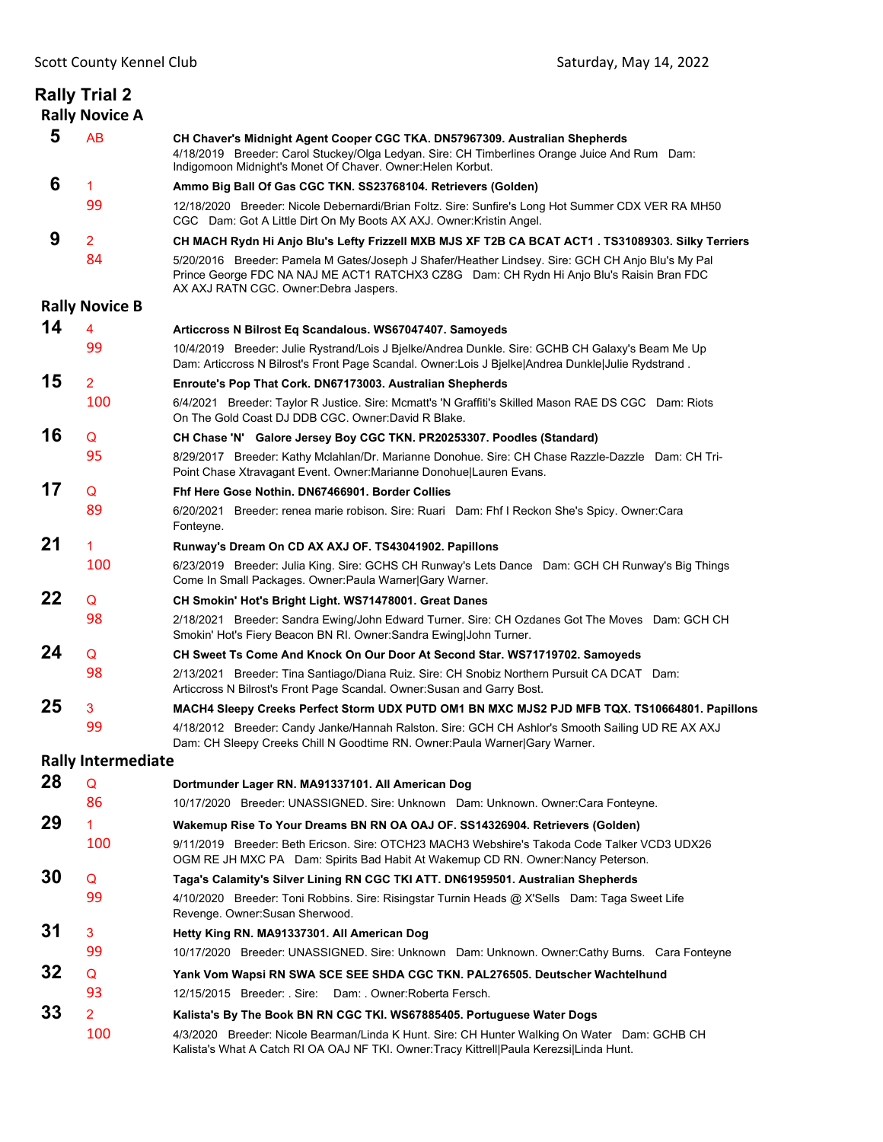|    | <b>Rally Trial 2</b><br><b>Rally Novice A</b> |                                                                                                                                                                                                                                            |
|----|-----------------------------------------------|--------------------------------------------------------------------------------------------------------------------------------------------------------------------------------------------------------------------------------------------|
| 5  | AB                                            | CH Chaver's Midnight Agent Cooper CGC TKA. DN57967309. Australian Shepherds<br>4/18/2019 Breeder: Carol Stuckey/Olga Ledyan. Sire: CH Timberlines Orange Juice And Rum Dam:<br>Indigomoon Midnight's Monet Of Chaver. Owner: Helen Korbut. |
| 6  | 1                                             | Ammo Big Ball Of Gas CGC TKN. SS23768104. Retrievers (Golden)                                                                                                                                                                              |
|    | 99                                            | 12/18/2020 Breeder: Nicole Debernardi/Brian Foltz. Sire: Sunfire's Long Hot Summer CDX VER RA MH50<br>CGC Dam: Got A Little Dirt On My Boots AX AXJ. Owner: Kristin Angel.                                                                 |
| 9  | $\overline{2}$                                | CH MACH Rydn Hi Anjo Blu's Lefty Frizzell MXB MJS XF T2B CA BCAT ACT1 . TS31089303. Silky Terriers                                                                                                                                         |
|    | 84                                            | 5/20/2016 Breeder: Pamela M Gates/Joseph J Shafer/Heather Lindsey. Sire: GCH CH Anjo Blu's My Pal<br>Prince George FDC NA NAJ ME ACT1 RATCHX3 CZ8G Dam: CH Rydn Hi Anjo Blu's Raisin Bran FDC<br>AX AXJ RATN CGC. Owner: Debra Jaspers.    |
|    | <b>Rally Novice B</b>                         |                                                                                                                                                                                                                                            |
| 14 | 4                                             | Articcross N Bilrost Eq Scandalous. WS67047407. Samoyeds                                                                                                                                                                                   |
|    | 99                                            | 10/4/2019 Breeder: Julie Rystrand/Lois J Bjelke/Andrea Dunkle. Sire: GCHB CH Galaxy's Beam Me Up<br>Dam: Articcross N Bilrost's Front Page Scandal. Owner:Lois J Bjelke Andrea Dunkle Julie Rydstrand.                                     |
| 15 | 2                                             | Enroute's Pop That Cork. DN67173003. Australian Shepherds                                                                                                                                                                                  |
|    | 100                                           | 6/4/2021 Breeder: Taylor R Justice. Sire: Mcmatt's 'N Graffiti's Skilled Mason RAE DS CGC Dam: Riots<br>On The Gold Coast DJ DDB CGC. Owner:David R Blake.                                                                                 |
| 16 | Q                                             | CH Chase 'N' Galore Jersey Boy CGC TKN. PR20253307. Poodles (Standard)                                                                                                                                                                     |
|    | 95                                            | 8/29/2017 Breeder: Kathy Mclahlan/Dr. Marianne Donohue. Sire: CH Chase Razzle-Dazzle Dam: CH Tri-<br>Point Chase Xtravagant Event. Owner: Marianne Donohue Lauren Evans.                                                                   |
| 17 | Q                                             | Fhf Here Gose Nothin, DN67466901, Border Collies                                                                                                                                                                                           |
|    | 89                                            | 6/20/2021 Breeder: renea marie robison. Sire: Ruari Dam: Fhf I Reckon She's Spicy. Owner:Cara<br>Fonteyne.                                                                                                                                 |
| 21 | 1                                             | Runway's Dream On CD AX AXJ OF. TS43041902. Papillons                                                                                                                                                                                      |
|    | 100                                           | 6/23/2019 Breeder: Julia King. Sire: GCHS CH Runway's Lets Dance Dam: GCH CH Runway's Big Things<br>Come In Small Packages. Owner: Paula Warner Gary Warner.                                                                               |
| 22 | Q                                             | CH Smokin' Hot's Bright Light. WS71478001. Great Danes                                                                                                                                                                                     |
|    | 98                                            | 2/18/2021 Breeder: Sandra Ewing/John Edward Turner. Sire: CH Ozdanes Got The Moves Dam: GCH CH<br>Smokin' Hot's Fiery Beacon BN RI. Owner: Sandra Ewing John Turner.                                                                       |
| 24 | Q                                             | CH Sweet Ts Come And Knock On Our Door At Second Star. WS71719702. Samoyeds                                                                                                                                                                |
|    | 98                                            | 2/13/2021 Breeder: Tina Santiago/Diana Ruiz. Sire: CH Snobiz Northern Pursuit CA DCAT Dam:<br>Articcross N Bilrost's Front Page Scandal. Owner: Susan and Garry Bost.                                                                      |
| 25 | 3                                             | MACH4 Sleepy Creeks Perfect Storm UDX PUTD OM1 BN MXC MJS2 PJD MFB TQX. TS10664801. Papillons                                                                                                                                              |
|    | 99                                            | 4/18/2012 Breeder: Candy Janke/Hannah Ralston. Sire: GCH CH Ashlor's Smooth Sailing UD RE AX AXJ<br>Dam: CH Sleepy Creeks Chill N Goodtime RN. Owner: Paula Warner Gary Warner.                                                            |
|    | <b>Rally Intermediate</b>                     |                                                                                                                                                                                                                                            |
| 28 | Q                                             | Dortmunder Lager RN. MA91337101. All American Dog                                                                                                                                                                                          |
|    | 86                                            | 10/17/2020 Breeder: UNASSIGNED. Sire: Unknown Dam: Unknown. Owner:Cara Fonteyne.                                                                                                                                                           |
| 29 | 1                                             | Wakemup Rise To Your Dreams BN RN OA OAJ OF. SS14326904. Retrievers (Golden)                                                                                                                                                               |
|    | 100                                           | 9/11/2019 Breeder: Beth Ericson. Sire: OTCH23 MACH3 Webshire's Takoda Code Talker VCD3 UDX26<br>OGM RE JH MXC PA Dam: Spirits Bad Habit At Wakemup CD RN. Owner: Nancy Peterson.                                                           |
| 30 | Q                                             | Taga's Calamity's Silver Lining RN CGC TKI ATT. DN61959501. Australian Shepherds                                                                                                                                                           |
|    | 99                                            | 4/10/2020 Breeder: Toni Robbins. Sire: Risingstar Turnin Heads @ X'Sells Dam: Taga Sweet Life<br>Revenge. Owner: Susan Sherwood.                                                                                                           |
| 31 | 3                                             | Hetty King RN. MA91337301. All American Dog                                                                                                                                                                                                |
|    | 99                                            | 10/17/2020 Breeder: UNASSIGNED. Sire: Unknown Dam: Unknown. Owner:Cathy Burns. Cara Fonteyne                                                                                                                                               |
| 32 | Q                                             | Yank Vom Wapsi RN SWA SCE SEE SHDA CGC TKN. PAL276505. Deutscher Wachtelhund                                                                                                                                                               |
|    | 93                                            | 12/15/2015 Breeder: Sire:<br>Dam: Owner:Roberta Fersch.                                                                                                                                                                                    |
| 33 | $\overline{2}$                                | Kalista's By The Book BN RN CGC TKI. WS67885405. Portuguese Water Dogs                                                                                                                                                                     |
|    | 100                                           | 4/3/2020 Breeder: Nicole Bearman/Linda K Hunt. Sire: CH Hunter Walking On Water Dam: GCHB CH<br>Kalista's What A Catch RI OA OAJ NF TKI. Owner:Tracy Kittrell Paula Kerezsi Linda Hunt.                                                    |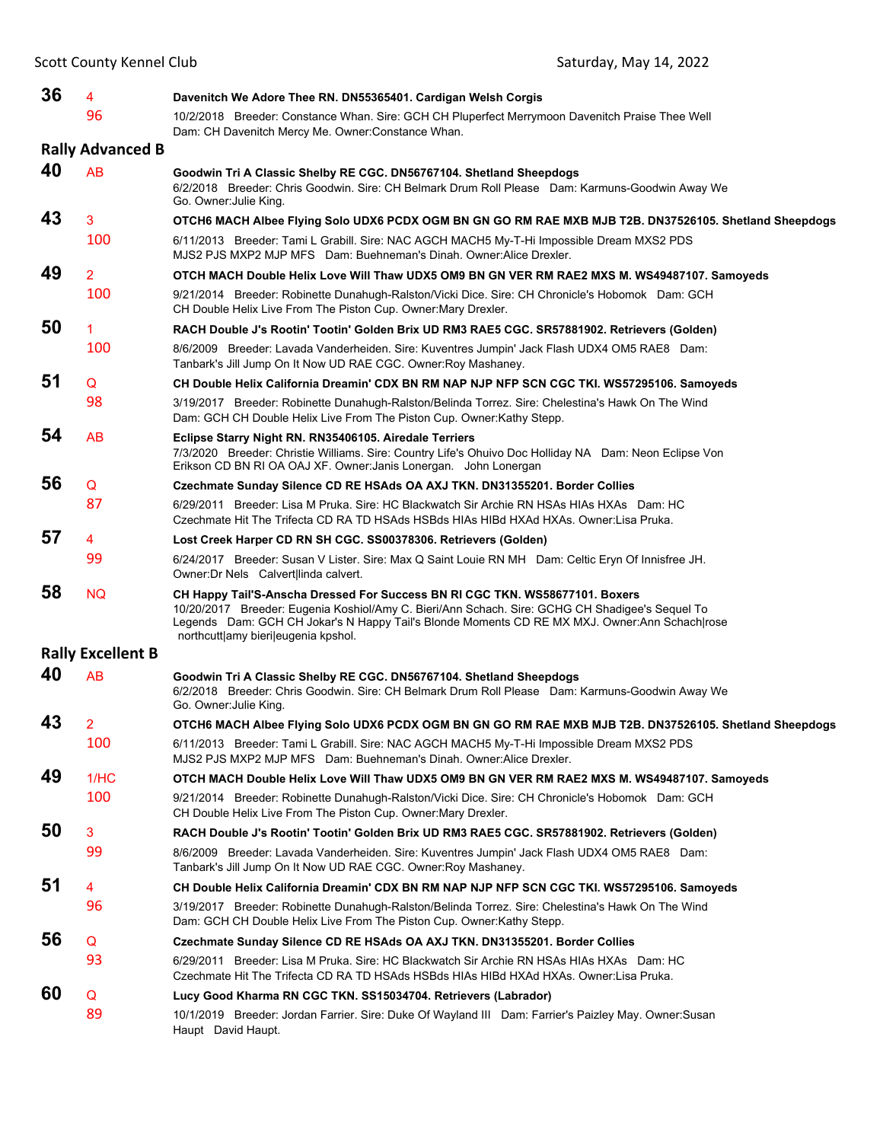| 36 | 4                        | Davenitch We Adore Thee RN. DN55365401. Cardigan Welsh Corgis                                                                                                                                                                                                                                                           |
|----|--------------------------|-------------------------------------------------------------------------------------------------------------------------------------------------------------------------------------------------------------------------------------------------------------------------------------------------------------------------|
|    | 96                       | 10/2/2018 Breeder: Constance Whan. Sire: GCH CH Pluperfect Merrymoon Davenitch Praise Thee Well<br>Dam: CH Davenitch Mercy Me. Owner: Constance Whan.                                                                                                                                                                   |
|    | <b>Rally Advanced B</b>  |                                                                                                                                                                                                                                                                                                                         |
| 40 | <b>AB</b>                | Goodwin Tri A Classic Shelby RE CGC. DN56767104. Shetland Sheepdogs<br>6/2/2018 Breeder: Chris Goodwin. Sire: CH Belmark Drum Roll Please Dam: Karmuns-Goodwin Away We<br>Go. Owner: Julie King.                                                                                                                        |
| 43 | 3                        | OTCH6 MACH Albee Flying Solo UDX6 PCDX OGM BN GN GO RM RAE MXB MJB T2B. DN37526105. Shetland Sheepdogs                                                                                                                                                                                                                  |
|    | 100                      | 6/11/2013 Breeder: Tami L Grabill. Sire: NAC AGCH MACH5 My-T-Hi Impossible Dream MXS2 PDS<br>MJS2 PJS MXP2 MJP MFS Dam: Buehneman's Dinah. Owner: Alice Drexler.                                                                                                                                                        |
| 49 | $\overline{2}$           | OTCH MACH Double Helix Love Will Thaw UDX5 OM9 BN GN VER RM RAE2 MXS M. WS49487107. Samoyeds                                                                                                                                                                                                                            |
|    | 100                      | 9/21/2014 Breeder: Robinette Dunahugh-Ralston/Vicki Dice. Sire: CH Chronicle's Hobomok Dam: GCH<br>CH Double Helix Live From The Piston Cup. Owner: Mary Drexler.                                                                                                                                                       |
| 50 | 1                        | RACH Double J's Rootin' Tootin' Golden Brix UD RM3 RAE5 CGC. SR57881902. Retrievers (Golden)                                                                                                                                                                                                                            |
|    | 100                      | 8/6/2009 Breeder: Lavada Vanderheiden. Sire: Kuventres Jumpin' Jack Flash UDX4 OM5 RAE8 Dam:<br>Tanbark's Jill Jump On It Now UD RAE CGC. Owner: Roy Mashaney.                                                                                                                                                          |
| 51 | Q                        | CH Double Helix California Dreamin' CDX BN RM NAP NJP NFP SCN CGC TKI. WS57295106. Samoyeds                                                                                                                                                                                                                             |
|    | 98                       | 3/19/2017 Breeder: Robinette Dunahugh-Ralston/Belinda Torrez. Sire: Chelestina's Hawk On The Wind<br>Dam: GCH CH Double Helix Live From The Piston Cup. Owner: Kathy Stepp.                                                                                                                                             |
| 54 | AB                       | Eclipse Starry Night RN. RN35406105. Airedale Terriers<br>7/3/2020 Breeder: Christie Williams. Sire: Country Life's Ohuivo Doc Holliday NA Dam: Neon Eclipse Von<br>Erikson CD BN RI OA OAJ XF. Owner: Janis Lonergan. John Lonergan                                                                                    |
| 56 | Q                        | Czechmate Sunday Silence CD RE HSAds OA AXJ TKN. DN31355201. Border Collies                                                                                                                                                                                                                                             |
|    | 87                       | 6/29/2011 Breeder: Lisa M Pruka. Sire: HC Blackwatch Sir Archie RN HSAs HIAs HXAs Dam: HC<br>Czechmate Hit The Trifecta CD RA TD HSAds HSBds HIAs HIBd HXAd HXAs. Owner:Lisa Pruka.                                                                                                                                     |
| 57 | 4                        | Lost Creek Harper CD RN SH CGC. SS00378306. Retrievers (Golden)                                                                                                                                                                                                                                                         |
|    | 99                       | 6/24/2017 Breeder: Susan V Lister. Sire: Max Q Saint Louie RN MH Dam: Celtic Eryn Of Innisfree JH.<br>Owner: Dr Nels Calvert linda calvert.                                                                                                                                                                             |
| 58 | <b>NQ</b>                | CH Happy Tail'S-Anscha Dressed For Success BN RI CGC TKN. WS58677101. Boxers<br>10/20/2017 Breeder: Eugenia Koshiol/Amy C. Bieri/Ann Schach. Sire: GCHG CH Shadigee's Sequel To<br>Legends Dam: GCH CH Jokar's N Happy Tail's Blonde Moments CD RE MX MXJ. Owner:Ann Schach rose<br>northcutt amy bieri eugenia kpshol. |
|    | <b>Rally Excellent B</b> |                                                                                                                                                                                                                                                                                                                         |
| 40 | <b>AB</b>                | Goodwin Tri A Classic Shelby RE CGC. DN56767104. Shetland Sheepdogs<br>6/2/2018 Breeder: Chris Goodwin. Sire: CH Belmark Drum Roll Please Dam: Karmuns-Goodwin Away We<br>Go. Owner: Julie King.                                                                                                                        |
| 43 | $\overline{2}$           | OTCH6 MACH Albee Flying Solo UDX6 PCDX OGM BN GN GO RM RAE MXB MJB T2B. DN37526105. Shetland Sheepdogs                                                                                                                                                                                                                  |
|    | 100                      | 6/11/2013 Breeder: Tami L Grabill. Sire: NAC AGCH MACH5 My-T-Hi Impossible Dream MXS2 PDS<br>MJS2 PJS MXP2 MJP MFS Dam: Buehneman's Dinah. Owner: Alice Drexler.                                                                                                                                                        |
| 49 | 1/HC                     | OTCH MACH Double Helix Love Will Thaw UDX5 OM9 BN GN VER RM RAE2 MXS M. WS49487107. Samoyeds                                                                                                                                                                                                                            |
|    | 100                      | 9/21/2014 Breeder: Robinette Dunahugh-Ralston/Vicki Dice. Sire: CH Chronicle's Hobomok Dam: GCH<br>CH Double Helix Live From The Piston Cup. Owner: Mary Drexler.                                                                                                                                                       |
| 50 | 3                        | RACH Double J's Rootin' Tootin' Golden Brix UD RM3 RAE5 CGC. SR57881902. Retrievers (Golden)                                                                                                                                                                                                                            |
|    | 99                       | 8/6/2009 Breeder: Lavada Vanderheiden. Sire: Kuventres Jumpin' Jack Flash UDX4 OM5 RAE8 Dam:<br>Tanbark's Jill Jump On It Now UD RAE CGC. Owner: Roy Mashaney.                                                                                                                                                          |
| 51 | 4                        | CH Double Helix California Dreamin' CDX BN RM NAP NJP NFP SCN CGC TKI. WS57295106. Samoyeds                                                                                                                                                                                                                             |
|    | 96                       | 3/19/2017 Breeder: Robinette Dunahugh-Ralston/Belinda Torrez. Sire: Chelestina's Hawk On The Wind<br>Dam: GCH CH Double Helix Live From The Piston Cup. Owner: Kathy Stepp.                                                                                                                                             |
| 56 | Q                        | Czechmate Sunday Silence CD RE HSAds OA AXJ TKN. DN31355201. Border Collies                                                                                                                                                                                                                                             |
|    | 93                       | 6/29/2011 Breeder: Lisa M Pruka. Sire: HC Blackwatch Sir Archie RN HSAs HIAs HXAs Dam: HC<br>Czechmate Hit The Trifecta CD RA TD HSAds HSBds HIAs HIBd HXAd HXAs. Owner:Lisa Pruka.                                                                                                                                     |
| 60 | Q                        | Lucy Good Kharma RN CGC TKN. SS15034704. Retrievers (Labrador)                                                                                                                                                                                                                                                          |
|    | 89                       | 10/1/2019 Breeder: Jordan Farrier. Sire: Duke Of Wayland III Dam: Farrier's Paizley May. Owner: Susan<br>Haupt David Haupt.                                                                                                                                                                                             |